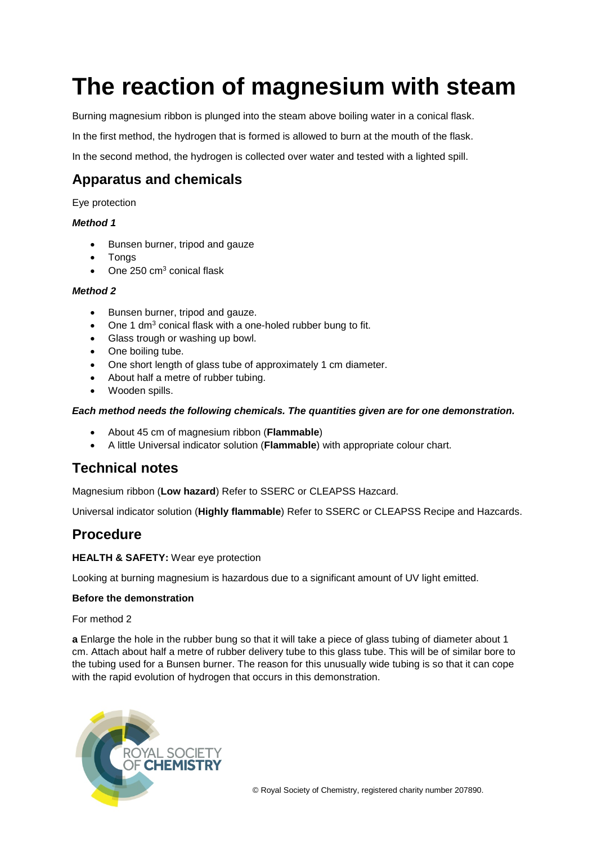# **The reaction of magnesium with steam**

Burning magnesium ribbon is plunged into the steam above boiling water in a conical flask.

In the first method, the hydrogen that is formed is allowed to burn at the mouth of the flask.

In the second method, the hydrogen is collected over water and tested with a lighted spill.

## **Apparatus and chemicals**

Eye protection

#### *Method 1*

- Bunsen burner, tripod and gauze
- **Tongs**
- One 250 cm<sup>3</sup> conical flask

#### *Method 2*

- Bunsen burner, tripod and gauze.
- One 1 dm<sup>3</sup> conical flask with a one-holed rubber bung to fit.
- Glass trough or washing up bowl.
- One boiling tube.
- One short length of glass tube of approximately 1 cm diameter.
- About half a metre of rubber tubing.
- Wooden spills.

#### *Each method needs the following chemicals. The quantities given are for one demonstration.*

- About 45 cm of magnesium ribbon (**Flammable**)
- A little Universal indicator solution (**Flammable**) with appropriate colour chart.

## **Technical notes**

Magnesium ribbon (**Low hazard**) Refer to SSERC or CLEAPSS Hazcard.

Universal indicator solution (**Highly flammable**) Refer to SSERC or CLEAPSS Recipe and Hazcards.

## **Procedure**

#### **HEALTH & SAFETY:** Wear eye protection

Looking at burning magnesium is hazardous due to a significant amount of UV light emitted.

#### **Before the demonstration**

For method 2

**a** Enlarge the hole in the rubber bung so that it will take a piece of glass tubing of diameter about 1 cm. Attach about half a metre of rubber delivery tube to this glass tube. This will be of similar bore to the tubing used for a Bunsen burner. The reason for this unusually wide tubing is so that it can cope with the rapid evolution of hydrogen that occurs in this demonstration.

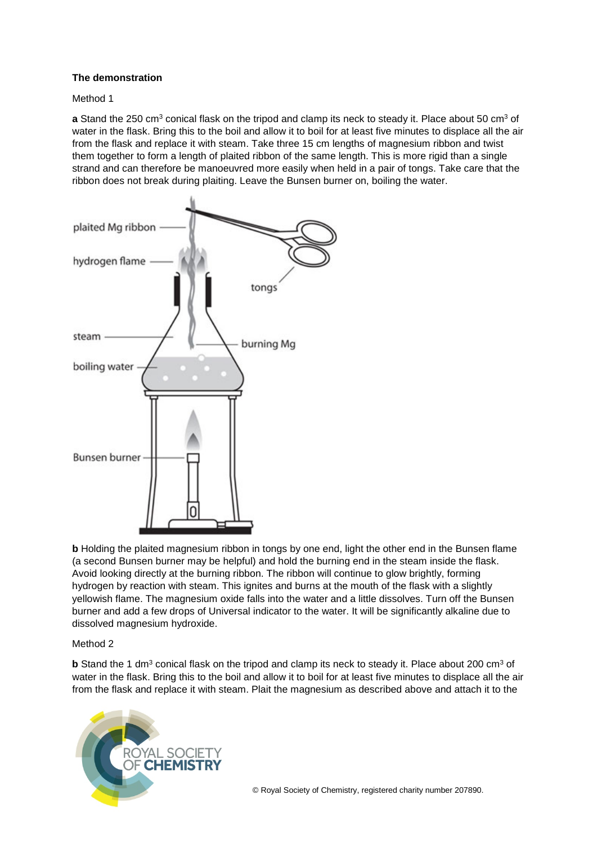#### **The demonstration**

#### Method 1

**a** Stand the 250 cm<sup>3</sup> conical flask on the tripod and clamp its neck to steady it. Place about 50 cm<sup>3</sup> of water in the flask. Bring this to the boil and allow it to boil for at least five minutes to displace all the air from the flask and replace it with steam. Take three 15 cm lengths of magnesium ribbon and twist them together to form a length of plaited ribbon of the same length. This is more rigid than a single strand and can therefore be manoeuvred more easily when held in a pair of tongs. Take care that the ribbon does not break during plaiting. Leave the Bunsen burner on, boiling the water.



**b** Holding the plaited magnesium ribbon in tongs by one end, light the other end in the Bunsen flame (a second Bunsen burner may be helpful) and hold the burning end in the steam inside the flask. Avoid looking directly at the burning ribbon. The ribbon will continue to glow brightly, forming hydrogen by reaction with steam. This ignites and burns at the mouth of the flask with a slightly yellowish flame. The magnesium oxide falls into the water and a little dissolves. Turn off the Bunsen burner and add a few drops of Universal indicator to the water. It will be significantly alkaline due to dissolved magnesium hydroxide.

#### Method 2

**b** Stand the 1 dm<sup>3</sup> conical flask on the tripod and clamp its neck to steady it. Place about 200 cm<sup>3</sup> of water in the flask. Bring this to the boil and allow it to boil for at least five minutes to displace all the air from the flask and replace it with steam. Plait the magnesium as described above and attach it to the

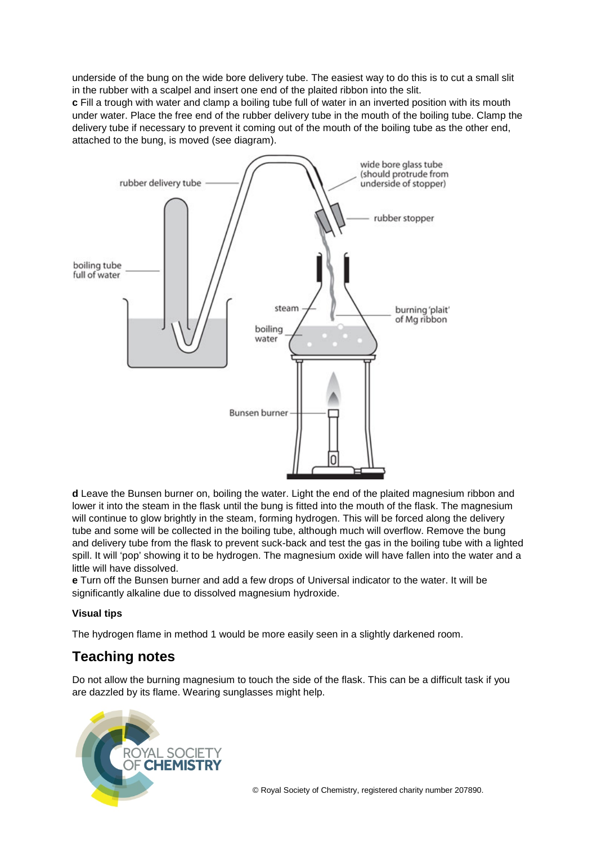underside of the bung on the wide bore delivery tube. The easiest way to do this is to cut a small slit in the rubber with a scalpel and insert one end of the plaited ribbon into the slit.

**c** Fill a trough with water and clamp a boiling tube full of water in an inverted position with its mouth under water. Place the free end of the rubber delivery tube in the mouth of the boiling tube. Clamp the delivery tube if necessary to prevent it coming out of the mouth of the boiling tube as the other end, attached to the bung, is moved (see diagram).



**d** Leave the Bunsen burner on, boiling the water. Light the end of the plaited magnesium ribbon and lower it into the steam in the flask until the bung is fitted into the mouth of the flask. The magnesium will continue to glow brightly in the steam, forming hydrogen. This will be forced along the delivery tube and some will be collected in the boiling tube, although much will overflow. Remove the bung and delivery tube from the flask to prevent suck-back and test the gas in the boiling tube with a lighted spill. It will 'pop' showing it to be hydrogen. The magnesium oxide will have fallen into the water and a little will have dissolved.

**e** Turn off the Bunsen burner and add a few drops of Universal indicator to the water. It will be significantly alkaline due to dissolved magnesium hydroxide.

#### **Visual tips**

The hydrogen flame in method 1 would be more easily seen in a slightly darkened room.

# **Teaching notes**

Do not allow the burning magnesium to touch the side of the flask. This can be a difficult task if you are dazzled by its flame. Wearing sunglasses might help.

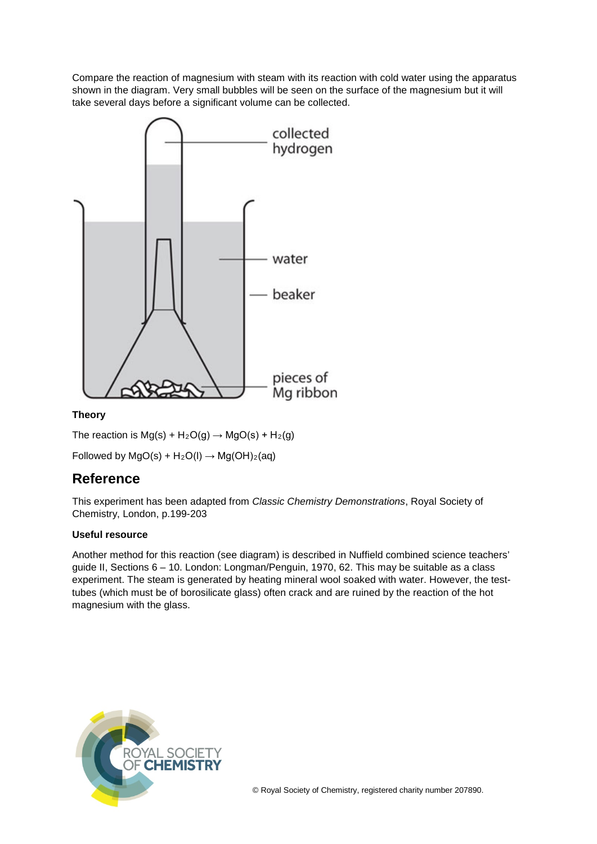Compare the reaction of magnesium with steam with its reaction with cold water using the apparatus shown in the diagram. Very small bubbles will be seen on the surface of the magnesium but it will take several days before a significant volume can be collected.



#### **Theory**

The reaction is  $Mg(s) + H_2O(g) \rightarrow MgO(s) + H_2(g)$ Followed by  $MgO(s) + H_2O(l) \rightarrow Mg(OH)_2(aq)$ 

### **Reference**

This experiment has been adapted from *Classic Chemistry Demonstrations*, Royal Society of Chemistry, London, p.199-203

#### **Useful resource**

Another method for this reaction (see diagram) is described in Nuffield combined science teachers' guide II, Sections 6 – 10. London: Longman/Penguin, 1970, 62. This may be suitable as a class experiment. The steam is generated by heating mineral wool soaked with water. However, the testtubes (which must be of borosilicate glass) often crack and are ruined by the reaction of the hot magnesium with the glass.